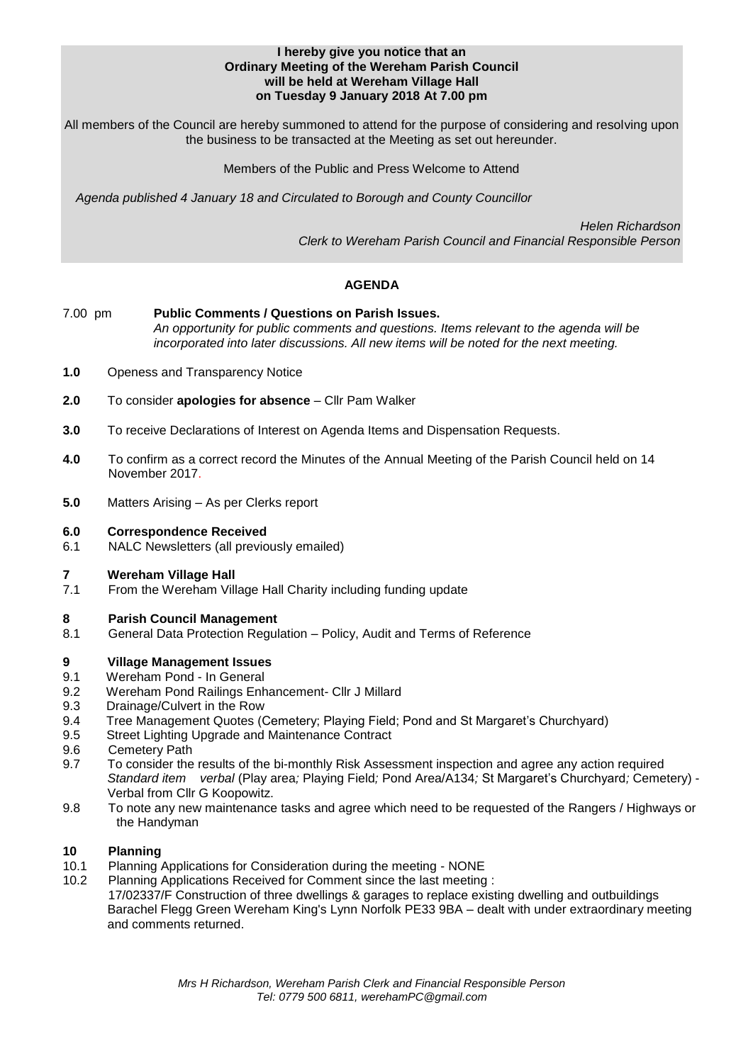### **I hereby give you notice that an Ordinary Meeting of the Wereham Parish Council will be held at Wereham Village Hall on Tuesday 9 January 2018 At 7.00 pm**

All members of the Council are hereby summoned to attend for the purpose of considering and resolving upon the business to be transacted at the Meeting as set out hereunder.

Members of the Public and Press Welcome to Attend

*Agenda published 4 January 18 and Circulated to Borough and County Councillor* 

 *Helen Richardson Clerk to Wereham Parish Council and Financial Responsible Person*

# **AGENDA**

- 7.00 pm **Public Comments / Questions on Parish Issues.** *An opportunity for public comments and questions. Items relevant to the agenda will be incorporated into later discussions. All new items will be noted for the next meeting.*
- **1.0** Openess and Transparency Notice
- **2.0** To consider **apologies for absence** Cllr Pam Walker
- **3.0** To receive Declarations of Interest on Agenda Items and Dispensation Requests.
- **4.0** To confirm as a correct record the Minutes of the Annual Meeting of the Parish Council held on 14 November 2017.
- **5.0** Matters Arising As per Clerks report

## **6.0 Correspondence Received**

6.1 NALC Newsletters (all previously emailed)

### **7 Wereham Village Hall**

7.1 From the Wereham Village Hall Charity including funding update

# **8 Parish Council Management**

8.1 General Data Protection Regulation – Policy, Audit and Terms of Reference

# **9 Village Management Issues**

- 9.1 Wereham Pond In General
- 9.2 Wereham Pond Railings Enhancement- Cllr J Millard
- 9.3 Drainage/Culvert in the Row
- 9.4 Tree Management Quotes (Cemetery; Playing Field; Pond and St Margaret's Churchyard)
- 9.5 Street Lighting Upgrade and Maintenance Contract
- 9.6 Cemetery Path
- 9.7 To consider the results of the bi-monthly Risk Assessment inspection and agree any action required *Standard item verbal* (Play area*;* Playing Field*;* Pond Area/A134*;* St Margaret's Churchyard*;* Cemetery) - Verbal from Cllr G Koopowitz.
- 9.8 To note any new maintenance tasks and agree which need to be requested of the Rangers / Highways or the Handyman

# **10 Planning**

- 10.1 Planning Applications for Consideration during the meeting NONE
- 10.2 Planning Applications Received for Comment since the last meeting :

17/02337/F Construction of three dwellings & garages to replace existing dwelling and outbuildings Barachel Flegg Green Wereham King's Lynn Norfolk PE33 9BA – dealt with under extraordinary meeting and comments returned.